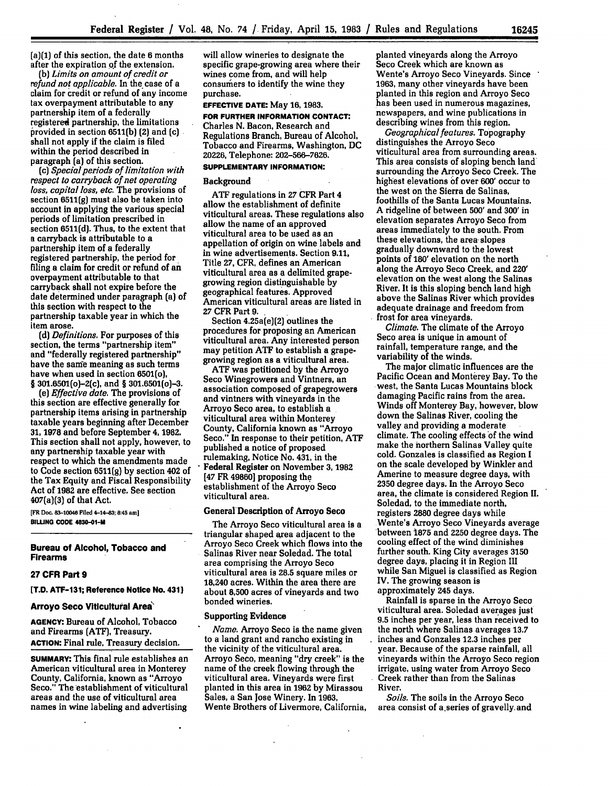(a)(1) of this section, the date 6 months after the expiration **of** the extension.

**(b)** *Limits on amount of credit or refund not applicable.* In the case of a claim for credit or refund of any income tax overpayment attributable to any partnership item of a federally registered partnership, the limitations provided in section **6511(b) (2)** and (c) shall not apply if the claim is filed within the period described in paragraph (a) of this section.

(c) *Special periods of limitation with respect to carryback of net operating* loss, *capital loss, etc.* The provisions of section **6511(g)** must also be taken into account in applying the various special periods of limitation prescribed in section **6511(d).** Thus, to the extent that a carryback is attributable to a partnership item of a federally registered partnership, the period for filing a claim for credit or refund of an overpayment attributable to that carryback shall not expire before the date determined under paragraph (a) **of** this section with respect to the partnership taxable year in which the item arose.

*(d) Definitions.* For purposes of this section, the terms "partnership item" and "federally registered partnership" have the same meaning as such terms have when used in section 6501(o), **§** 301.6501(o)-2(c), and § 301.6501(o)-3.

*(e) Effective date.* The provisions **of** this section are effective generally for partnership items arising in partnership taxable years beginning after December **31, 1978** and before September **4, 1982.** This section shall not apply, however, to any partnership taxable year with respect to which the amendments made to Code section **6511(g) by** section 402 of the Tax Equity and Fiscal Responsibility Act of **1982** are effective. See section 407(a)(3) of that Act.

**[FR Doc. 83-10046 Filed 4-14-83; 8:45 am] BILUNG CODE 4830-01-M**

### **Bureau of Alcohol, Tobacco and Firearms**

### **27 CFR Part 9**

**[T.D. ATF-131; Reference Notice No. 431]**

### **Arroyo Seco Viticultural Area'**

**AGENCY:** Bureau of Alcohol, Tobacco and Firearms **(ATF),** Treasury. **ACTION:** Final rule, Treasury decision.

**SUMMARY:** This final rule establishes an American viticultural area in Monterey County, California, known as "Arroyo Seco." The establishment of viticultural areas and the use of viticultural area names in wine labeling and advertising

will allow wineries to designate the specific grape-growing area where their wines come from, and will help consumers to identify the wine they purchase.

## **EFFECTIVE DATE:** May **16, 1983.**

**FOR FURTHER INFORMATION CONTACT:** Charles **N.** Bacon, Research and Regulations Branch, Bureau of Alcohol, Tobacco and Firearms, Washington, **DC 20226,** Telephone: **202-566-7626.**

# **SUPPLEMENTARY INFORMATION:**

#### Background

**ATF** regulations in **27** CFR Part 4 allow the establishment of definite viticultural areas. These regulations also allow the name of an approved viticultural area to be used as an appellation of origin on wine labels and in wine advertisements. Section **9.11,** Title **27,** CFR, defines an American viticultural area as a delimited grapegrowing region distinguishable **by** geographical features. Approved American viticultural areas are listed in **27** CFR Part 9.

Section 4.25a(e)(2) outlines the procedures for proposing an American viticultural area. **Any** interested person may petition **ATF** to establish a grapegrowing region as a viticultural area.

**ATF** was petitioned **by** the Arroyo Seco Winegrowers and Vintners, an association composed of grapegrowers and vintners with vineyards in the Arroyo Seco area, to establish a viticultural area within Monterey County, California known as "Arroyo Seco." In response to their petition, **ATF** published a notice of proposed rulemaking, Notice No. 431, in the Federal Register on November **3, 1982 [47** FR 49860] proposing the establishment of the Arroyo Seco viticultural area.

#### General' Description of Arroyo Seco

The Arroyo Seco viticultural area **is** a triangular shaped area adjacent to the Arroyo Seco Creek which flows into the Salinas River near Soledad. The total area comprising the Arroyo Seco viticultural area is **28.5** square miles or 18,240 acres. Within the area there are about **8,500** acres of vineyards and two bonded wineries.

#### Supporting Evidence

*Name.* Arroyo Seco is the name given to a land grant and rancho existing in the vicinity of the viticultural area. Arroyo Seco, meaning "dry creek" is the name of the creek flowing through the viticultural area. Vineyards were first planted in this area in 1962 **by** Mirassou Sales, a San Jose Winery. In **1963,** Wente Brothers of Livermore, California,

planted vineyards along the Arroyo Seco Creek which are known as Wente's Arroyo Seco Vineyards. Since **1963,** many other vineyards have been planted in this region and Arroyo Seco has been used in numerous magazines, newspapers, and wine publications in describing wines from this region.

*Geographical features.* Topography distinguishes the Arroyo Seco viticultural area from surrounding areas. This area consists of sloping bench land surrounding the Arroyo Seco Creek. The highest elevations **of** over **600'** occur to the west on the Sierra de Salinas, foothills of the Santa Lucas Mountains. **A** ridgeline of between 500' and 300' in elevation separates Arroyo Seco from areas immediately to the south. From these elevations, the area slopes gradually downward to the lowest points of **180'** elevation on the north along the Arroyo Seco Creek, and 220' elevation on the west along the Salinas River. It is this sloping bench land high above the Salinas River which provides adequate drainage and freedom from frost for area vineyards.

*Climate.* The climate of the Arroyo Seco area is unique in amount of rainfall, temperature range, and the variability of the winds.

The major climatic influences are the Pacific Ocean and Monterey Bay. To the west, the Santa Lucas Mountains block damaging Pacific rains from the area. Winds off Monterey Bay, however, blow down the Salinas River, cooling the valley and providing a moderate climate. The cooling effects of the wind make the northern Salinas Valley quite cold. Gonzales is classified as Region **I** on the scale developed **by** Winkler and Amerine to measure degree days, with **2350** degree days. In the Arroyo Seco area, the climate is considered Region **II.** Soledad, to the immediate north, registers **2880** degree days while Wente's Arroyo Seco Vineyards average between **1875** and 2250 degree days. The cooling effect of the wind diminishes further south. King City averages **3150** degree days, placing it in Region III while San Miguel is classified as Region IV. The growing season is approximately 245 days.

Rainfall is sparse in the Arroyo Seco viticultural area. Soledad averages just **9.5** inches per year, less than received to the north where Salinas averages **13.7** inches and Gonzales **12.3** inches per year. Because of the sparse rainfall, all vineyards within the Arroyo Seco region irrigate, using water from Arroyo Seco Creek rather than from the Salinas River.

*Soils.* The soils in the Arroyo Seco area consist of a.series of gravelly. and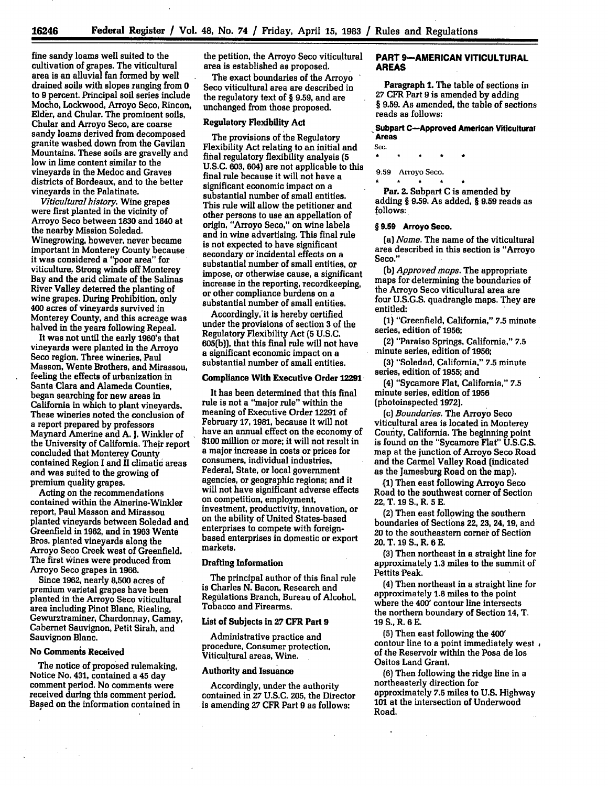fine sandy **loams** well suited to the cultivation of grapes. The viticultural area is an alluvial fan formed **by** well drained soils with slopes ranging from 0 to 9 percent. Principal soil series include Mocho, Lockwood, Arroyo Seco, Rincon, Elder, and Chular. The prominent soils, Chular and Arroyo Seco, are coarse sandy loams derived from decomposed granite washed down from the Gavilan Mountains. These soils are gravelly and low in lime content similar to the vineyards in the Medoc and Graves districts of Bordeaux, and to the better vineyards in the Palatinate.

*Viticultural history.* Wine grapes were first planted in the vicinity of Arroyo Seco between **1830** and **1840** at the nearby Mission Soledad. Winegrowing, however, never became important in Monterey County because it was considered a "poor area" for viticulture. Strong winds off Monterey Bay and the **arid** climate of the Salinas River Valley deterred the planting of wine grapes. During Prohibition, only **400** acres of vineyards survived in Monterey County, and this acreage was halved in the years following Repeal.

It was not until the early 1960's that vineyards were planted in the Arroyo Seco region. Three wineries, Paul Masson, Wente Brothers, and Mirassou, feeling the effects of urbanization in Santa Clara and Alameda Counties, began searching for new areas in California in which to plant vineyards. These wineries noted the conclusion of a report prepared **by** professors Maynard Amerine and A. J. Winkler of the University of California. Their report concluded that Monterey County contained Region I and II climatic areas and was suited to the growing of premium quality grapes.

Acting on the recommendations contained within the Ainerine-Winkler report, Paul Masson and Mirassou planted vineyards between Soledad and Greenfield in **1962,** and in **1963** Wente Bros. planted vineyards along the Arroyo Seco Creek west of Greenfield. The first wines were produced from Arroyo Seco grapes in 1966.

Since **1962,** nearly **8,500** acres of premium varietal grapes have been planted in the Arroyo Seco viticultural area including Pinot Blanc, Riesling, Gewurztraminer, Chardonnay, Gamay, Cabernet Sauvignon, Petit Sirah, and Sauvignon Blanc.

#### **No Comments Received**

The notice of proposed rulemaking, Notice No. **431,** contained a 45 day comment period. No comments were received during this comment period. Based on the information contained in the petition, the Arroyo Seco viticultural area is established as proposed.

The exact boundaries of the Arroyo Seco viticultural area are described in the regulatory text **of** § **9.59,** and are unchanged from those proposed.

# **Regulatory Flexibility Act**

The provisions of the Regulatory Flexibility Act relating to an initial and final regulatory flexibility analysis **(5 U.S.C. 603,** 604) are not applicable to this final rule because it will not have a significant economic impact on a substantial number of small entities. This rule will allow the petitioner and other persons to use an appellation of origin, "Arroyo Seco," on wine labels and in wine advertising. This final rule is not expected to have significant secondary or incidental effects on a substantial number of small entities, or impose, or otherwise cause, a significant increase in the reporting, recordkeeping, or other compliance burdens on a substantial number of small entities.

Accordingly,' it is hereby certified under the provisions of section **3** of the Regulatory Flexibility Act **(5** U.S.C. **605(b)),** that this final rule will not have a significant economic impact on a substantial number of small entities.

### Compliance With Executive Order **12291**

It has been determined that this final rule is not a "major rule" within the meaning of Executive Order **12291** of February **17, 1981,** because it will not have an annual effect on the economy of **\$100** million or more; it will not result in a major increase in costs or prices for consumers, individual industries, Federal, State, or local government agencies, or geographic regions; and it will not have significant adverse effects **on** competition, employment; investment, productivity, innovation, or on the ability of United States-based enterprises to compete with foreignbased enterprises in domestic or export markets.

### Drafting Information

The principal author of this final rule is Charles **N.** Bacon, Research and Regulations Branch, Bureau of Alcohol, Tobacco and Firearms.

## List of Subjects in **27 CFR** Part **9**

Administrative practice and procedure, Consumer protection, Viticultural areas, Wine.

### Authority and Issuance

Accordingly, under the authority contained in **27 U.S.C. 205,** the Director is amending **27** CFR Part 9 as follows:

### **PART 9-AMERICAN VITICULTURAL AREAS**

Paragraph **1.** The table of sections in **27** CFR Part 9 is amended **by** adding § **9.59. As** amended, the table of sections reads as follows:

### **-Subpart C-Approved American Viticultural Areas**

**9.59** Arroyo Seco.

**Sec.**

Par. 2. Subpart **C** is amended **by** adding § **9.59.** As added, § **9.59** reads as **follows:**

### **§ 9.59 Arroyo Seco.**

*(a) Name.* The name of the viticultural area described in this section is "Arroyo Seco."

*(b) Approved maps.* The appropriate maps for determining the boundaries of the Arroyo Seco viticultural area are four U.S.G.S. quadrangle maps. They are entitled:

**(1)** "Greenfield, California," **7.5** minute series, edition of **1956;**

(2) "Paraiso Springs, California," **7.5** minute series, edition of **1956;**

**(3)** "Soledad, California," **7.5** minute series, edition of **1955;** and

(4) "Sycamore Flat, California," **7.5** minute series, edition of **1956** (photoinspected 1972).

*(c) Boundaries.* The Arroyo Seco viticultural area is located in Monterey Couity, California. The beginning point is found on the "Sycamore Flat" U.S.G.S. map at the junction of Arroyo Seco Road and the Carmel Valley Road (indicated as the Jamesburg Road on the map).

**(1)** Then east following Arroyo Seco Road to the southwest corner of Section 22, T. **19 S.,** R. **5 E.**

**(2)** Then east following the southern boundaries of Sections 22, **23,** 24, **19,** and 20 to the southeastern corner of Section **20,** T. **19 S.,** R. 6 **E.**

**(3)** Then northeast in a straight line for approximately **1.3** miles to the summit of Pettits Peak.

(4) Then northeast in a straight line for approximately **1.8** miles to the point where the **400'** contour line intersects the northern boundary of Section **14,** T. **19 S.,R. 6E.**

**(5)** Then east following the 400' contour line to a point immediately west, of the Reservoir within the Posa de los Ositos Land Grant.

**(6)** Then following the ridge line in a northeasterly direction for approximately **7.5** miles to U.S. Highway **101** at the intersection of Underwood Road.